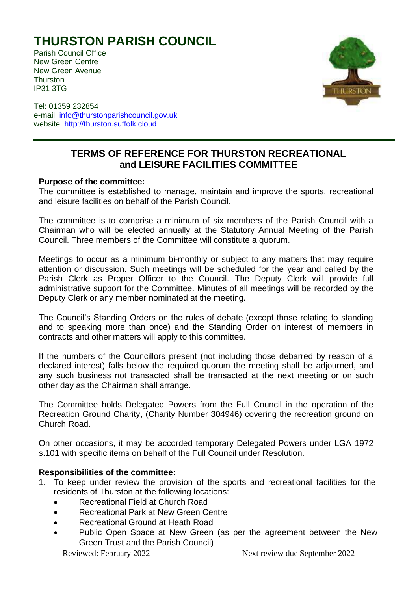## **THURSTON PARISH COUNCIL**

Parish Council Office New Green Centre New Green Avenue **Thurston** IP31 3TG



Tel: 01359 232854 e-mail: [info@thurstonparishcouncil.gov.uk](mailto:info@thurstonparishcouncil.gov.uk) website: [http://thurston.suffolk.cloud](http://thurston.suffolk.cloud/)

## **TERMS OF REFERENCE FOR THURSTON RECREATIONAL and LEISURE FACILITIES COMMITTEE**

## **Purpose of the committee:**

The committee is established to manage, maintain and improve the sports, recreational and leisure facilities on behalf of the Parish Council.

The committee is to comprise a minimum of six members of the Parish Council with a Chairman who will be elected annually at the Statutory Annual Meeting of the Parish Council. Three members of the Committee will constitute a quorum.

Meetings to occur as a minimum bi-monthly or subject to any matters that may require attention or discussion. Such meetings will be scheduled for the year and called by the Parish Clerk as Proper Officer to the Council. The Deputy Clerk will provide full administrative support for the Committee. Minutes of all meetings will be recorded by the Deputy Clerk or any member nominated at the meeting.

The Council's Standing Orders on the rules of debate (except those relating to standing and to speaking more than once) and the Standing Order on interest of members in contracts and other matters will apply to this committee.

If the numbers of the Councillors present (not including those debarred by reason of a declared interest) falls below the required quorum the meeting shall be adjourned, and any such business not transacted shall be transacted at the next meeting or on such other day as the Chairman shall arrange.

The Committee holds Delegated Powers from the Full Council in the operation of the Recreation Ground Charity, (Charity Number 304946) covering the recreation ground on Church Road.

On other occasions, it may be accorded temporary Delegated Powers under LGA 1972 s.101 with specific items on behalf of the Full Council under Resolution.

## **Responsibilities of the committee:**

- 1. To keep under review the provision of the sports and recreational facilities for the residents of Thurston at the following locations:
	- Recreational Field at Church Road
	- Recreational Park at New Green Centre
	- Recreational Ground at Heath Road
	- Public Open Space at New Green (as per the agreement between the New Green Trust and the Parish Council)

Reviewed: February 2022